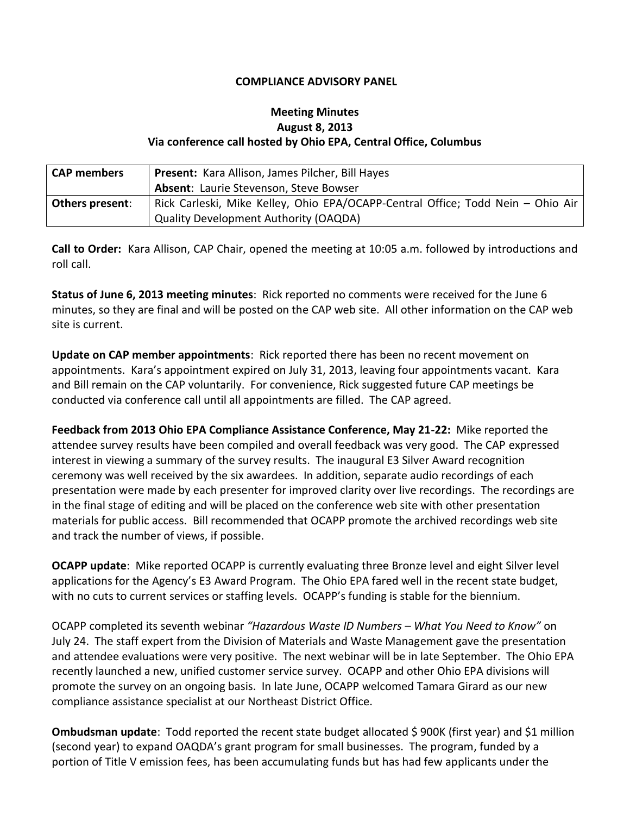## **COMPLIANCE ADVISORY PANEL**

## **Meeting Minutes August 8, 2013 Via conference call hosted by Ohio EPA, Central Office, Columbus**

| <b>CAP</b> members     | Present: Kara Allison, James Pilcher, Bill Hayes                                |
|------------------------|---------------------------------------------------------------------------------|
|                        | Absent: Laurie Stevenson, Steve Bowser                                          |
| <b>Others present:</b> | Rick Carleski, Mike Kelley, Ohio EPA/OCAPP-Central Office; Todd Nein - Ohio Air |
|                        | <b>Quality Development Authority (OAQDA)</b>                                    |

**Call to Order:** Kara Allison, CAP Chair, opened the meeting at 10:05 a.m. followed by introductions and roll call.

**Status of June 6, 2013 meeting minutes**: Rick reported no comments were received for the June 6 minutes, so they are final and will be posted on the CAP web site. All other information on the CAP web site is current.

**Update on CAP member appointments**: Rick reported there has been no recent movement on appointments. Kara's appointment expired on July 31, 2013, leaving four appointments vacant. Kara and Bill remain on the CAP voluntarily. For convenience, Rick suggested future CAP meetings be conducted via conference call until all appointments are filled. The CAP agreed.

**Feedback from 2013 Ohio EPA Compliance Assistance Conference, May 21-22:** Mike reported the attendee survey results have been compiled and overall feedback was very good. The CAP expressed interest in viewing a summary of the survey results. The inaugural E3 Silver Award recognition ceremony was well received by the six awardees. In addition, separate audio recordings of each presentation were made by each presenter for improved clarity over live recordings. The recordings are in the final stage of editing and will be placed on the conference web site with other presentation materials for public access. Bill recommended that OCAPP promote the archived recordings web site and track the number of views, if possible.

**OCAPP update**: Mike reported OCAPP is currently evaluating three Bronze level and eight Silver level applications for the Agency's E3 Award Program. The Ohio EPA fared well in the recent state budget, with no cuts to current services or staffing levels. OCAPP's funding is stable for the biennium.

OCAPP completed its seventh webinar *"Hazardous Waste ID Numbers – What You Need to Know"* on July 24. The staff expert from the Division of Materials and Waste Management gave the presentation and attendee evaluations were very positive. The next webinar will be in late September. The Ohio EPA recently launched a new, unified customer service survey. OCAPP and other Ohio EPA divisions will promote the survey on an ongoing basis. In late June, OCAPP welcomed Tamara Girard as our new compliance assistance specialist at our Northeast District Office.

**Ombudsman update**: Todd reported the recent state budget allocated \$900K (first year) and \$1 million (second year) to expand OAQDA's grant program for small businesses. The program, funded by a portion of Title V emission fees, has been accumulating funds but has had few applicants under the